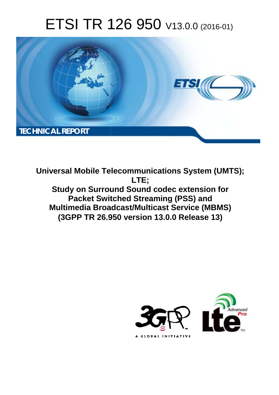# ETSI TR 126 950 V13.0.0 (2016-01)



**Universal Mobile Tel elecommunications System ( (UMTS); Study on Surround Sound codec extension for Packet Swit itched Streaming (PSS) and Multimedia Broadcast/Multicast Service (MBMS) (3GPP TR 26.9 .950 version 13.0.0 Release 13 13) LTE;** 

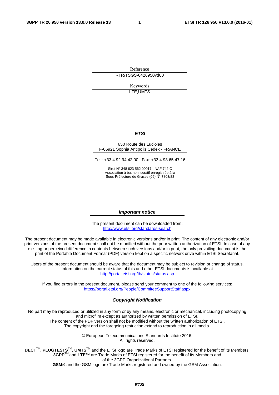Reference RTR/TSGS-0426950vd00

> Keywords LTE,UMTS

#### *ETSI*

#### 650 Route des Lucioles F-06921 Sophia Antipolis Cedex - FRANCE

Tel.: +33 4 92 94 42 00 Fax: +33 4 93 65 47 16

Siret N° 348 623 562 00017 - NAF 742 C Association à but non lucratif enregistrée à la Sous-Préfecture de Grasse (06) N° 7803/88

#### *Important notice*

The present document can be downloaded from: <http://www.etsi.org/standards-search>

The present document may be made available in electronic versions and/or in print. The content of any electronic and/or print versions of the present document shall not be modified without the prior written authorization of ETSI. In case of any existing or perceived difference in contents between such versions and/or in print, the only prevailing document is the print of the Portable Document Format (PDF) version kept on a specific network drive within ETSI Secretariat.

Users of the present document should be aware that the document may be subject to revision or change of status. Information on the current status of this and other ETSI documents is available at <http://portal.etsi.org/tb/status/status.asp>

If you find errors in the present document, please send your comment to one of the following services: <https://portal.etsi.org/People/CommiteeSupportStaff.aspx>

#### *Copyright Notification*

No part may be reproduced or utilized in any form or by any means, electronic or mechanical, including photocopying and microfilm except as authorized by written permission of ETSI.

The content of the PDF version shall not be modified without the written authorization of ETSI. The copyright and the foregoing restriction extend to reproduction in all media.

> © European Telecommunications Standards Institute 2016. All rights reserved.

**DECT**TM, **PLUGTESTS**TM, **UMTS**TM and the ETSI logo are Trade Marks of ETSI registered for the benefit of its Members. **3GPP**TM and **LTE**™ are Trade Marks of ETSI registered for the benefit of its Members and of the 3GPP Organizational Partners.

**GSM**® and the GSM logo are Trade Marks registered and owned by the GSM Association.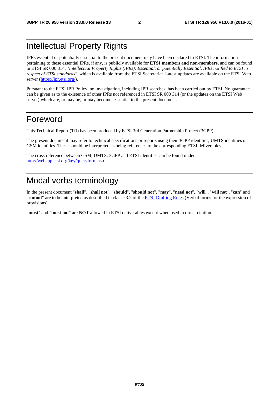### Intellectual Property Rights

IPRs essential or potentially essential to the present document may have been declared to ETSI. The information pertaining to these essential IPRs, if any, is publicly available for **ETSI members and non-members**, and can be found in ETSI SR 000 314: *"Intellectual Property Rights (IPRs); Essential, or potentially Essential, IPRs notified to ETSI in respect of ETSI standards"*, which is available from the ETSI Secretariat. Latest updates are available on the ETSI Web server [\(https://ipr.etsi.org/](https://ipr.etsi.org/)).

Pursuant to the ETSI IPR Policy, no investigation, including IPR searches, has been carried out by ETSI. No guarantee can be given as to the existence of other IPRs not referenced in ETSI SR 000 314 (or the updates on the ETSI Web server) which are, or may be, or may become, essential to the present document.

### Foreword

This Technical Report (TR) has been produced by ETSI 3rd Generation Partnership Project (3GPP).

The present document may refer to technical specifications or reports using their 3GPP identities, UMTS identities or GSM identities. These should be interpreted as being references to the corresponding ETSI deliverables.

The cross reference between GSM, UMTS, 3GPP and ETSI identities can be found under <http://webapp.etsi.org/key/queryform.asp>.

### Modal verbs terminology

In the present document "**shall**", "**shall not**", "**should**", "**should not**", "**may**", "**need not**", "**will**", "**will not**", "**can**" and "**cannot**" are to be interpreted as described in clause 3.2 of the [ETSI Drafting Rules](http://portal.etsi.org/Help/editHelp!/Howtostart/ETSIDraftingRules.aspx) (Verbal forms for the expression of provisions).

"**must**" and "**must not**" are **NOT** allowed in ETSI deliverables except when used in direct citation.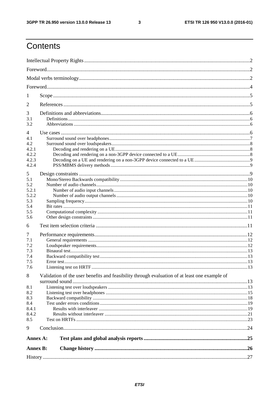$\mathbf{3}$ 

## Contents

| 1               |                                                                                               |  |
|-----------------|-----------------------------------------------------------------------------------------------|--|
| 2               |                                                                                               |  |
| 3               |                                                                                               |  |
| 3.1             |                                                                                               |  |
| 3.2             |                                                                                               |  |
| 4               |                                                                                               |  |
| 4.1             |                                                                                               |  |
| 4.2             |                                                                                               |  |
| 4.2.1           |                                                                                               |  |
| 4.2.2           |                                                                                               |  |
| 4.2.3           |                                                                                               |  |
| 4.2.4           |                                                                                               |  |
|                 |                                                                                               |  |
| 5               |                                                                                               |  |
| 5.1             |                                                                                               |  |
| 5.2             |                                                                                               |  |
| 5.2.1           |                                                                                               |  |
| 5.2.2           |                                                                                               |  |
| 5.3             |                                                                                               |  |
| 5.4             |                                                                                               |  |
| 5.5             |                                                                                               |  |
| 5.6             |                                                                                               |  |
| 6               |                                                                                               |  |
| 7               |                                                                                               |  |
| 7.1             |                                                                                               |  |
| 7.2             |                                                                                               |  |
| 7.3             |                                                                                               |  |
| 7.4             |                                                                                               |  |
| 7.5             |                                                                                               |  |
| 7.6             |                                                                                               |  |
| 8               | Validation of the user benefits and feasibility through evaluation of at least one example of |  |
|                 |                                                                                               |  |
| 8.1             |                                                                                               |  |
| 8.2             |                                                                                               |  |
| 8.3             |                                                                                               |  |
| 8.4             |                                                                                               |  |
| 8.4.1           |                                                                                               |  |
| 8.4.2           |                                                                                               |  |
| 8.5             |                                                                                               |  |
|                 |                                                                                               |  |
| 9               |                                                                                               |  |
| Annex A:        |                                                                                               |  |
| <b>Annex B:</b> |                                                                                               |  |
|                 |                                                                                               |  |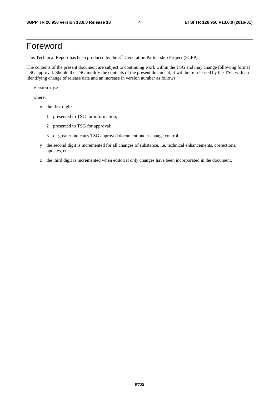### Foreword

This Technical Report has been produced by the  $3<sup>rd</sup>$  Generation Partnership Project (3GPP).

The contents of the present document are subject to continuing work within the TSG and may change following formal TSG approval. Should the TSG modify the contents of the present document, it will be re-released by the TSG with an identifying change of release date and an increase in version number as follows:

Version x.y.z

where:

- x the first digit:
	- 1 presented to TSG for information;
	- 2 presented to TSG for approval;
	- 3 or greater indicates TSG approved document under change control.
- y the second digit is incremented for all changes of substance, i.e. technical enhancements, corrections, updates, etc.
- z the third digit is incremented when editorial only changes have been incorporated in the document.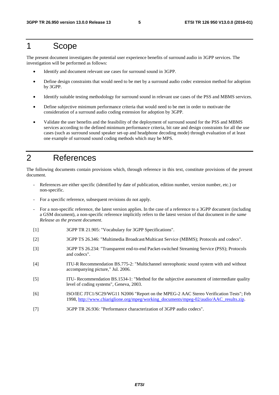#### 1 Scope

The present document investigates the potential user experience benefits of surround audio in 3GPP services. The investigation will be performed as follows:

- Identify and document relevant use cases for surround sound in 3GPP.
- Define design constraints that would need to be met by a surround audio codec extension method for adoption by 3GPP.
- Identify suitable testing methodology for surround sound in relevant use cases of the PSS and MBMS services.
- Define subjective minimum performance criteria that would need to be met in order to motivate the consideration of a surround audio coding extension for adoption by 3GPP.
- Validate the user benefits and the feasibility of the deployment of surround sound for the PSS and MBMS services according to the defined minimum performance criteria, bit rate and design constraints for all the use cases (such as surround sound speaker set-up and headphone decoding mode) through evaluation of at least one example of surround sound coding methods which may be MPS.

### 2 References

The following documents contain provisions which, through reference in this text, constitute provisions of the present document.

- References are either specific (identified by date of publication, edition number, version number, etc.) or non-specific.
- For a specific reference, subsequent revisions do not apply.
- For a non-specific reference, the latest version applies. In the case of a reference to a 3GPP document (including a GSM document), a non-specific reference implicitly refers to the latest version of that document *in the same Release as the present document*.
- [1] 3GPP TR 21.905: "Vocabulary for 3GPP Specifications".
- [2] 3GPP TS 26.346: "Multimedia Broadcast/Multicast Service (MBMS); Protocols and codecs".
- [3] 3GPP TS 26.234: "Transparent end-to-end Packet-switched Streaming Service (PSS); Protocols and codecs".
- [4] ITU-R Recommendation BS.775-2: "Multichannel stereophonic sound system with and without accompanying picture," Jul. 2006.
- [5] ITU- Recommendation BS.1534-1: "Method for the subjective assessment of intermediate quality level of coding systems", Geneva, 2003.
- [6] ISO/IEC JTC1/SC29/WG11 N2006 "Report on the MPEG-2 AAC Stereo Verification Tests"; Feb 1998, [http://www.chiariglione.org/mpeg/working\\_documents/mpeg-02/audio/AAC\\_results.zip](http://www.chiariglione.org/mpeg/working_documents/mpeg-02/audio/AAC_results.zip).
- [7] 3GPP TR 26.936: "Performance characterization of 3GPP audio codecs".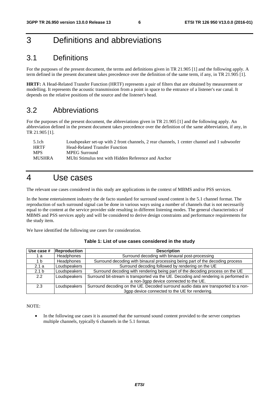### 3 Definitions and abbreviations

#### 3.1 Definitions

For the purposes of the present document, the terms and definitions given in TR 21.905 [1] and the following apply. A term defined in the present document takes precedence over the definition of the same term, if any, in TR 21.905 [1].

**HRTF:** A Head-Related Transfer Function (HRTF) represents a pair of filters that are obtained by measurement or modelling. It represents the acoustic transmission from a point in space to the entrance of a listener's ear canal. It depends on the relative positions of the source and the listener's head.

#### 3.2 Abbreviations

For the purposes of the present document, the abbreviations given in TR 21.905 [1] and the following apply. An abbreviation defined in the present document takes precedence over the definition of the same abbreviation, if any, in TR 21.905 [1].

| 5.1ch       | Loudspeaker set-up with 2 front channels, 2 rear channels, 1 center channel and 1 subwoofer |
|-------------|---------------------------------------------------------------------------------------------|
| <b>HRTF</b> | Head-Related Transfer Function                                                              |
| <b>MPS</b>  | <b>MPEG Surround</b>                                                                        |
| MUSHRA      | MUlti Stimulus test with Hidden Reference and Anchor                                        |

#### 4 Use cases

The relevant use cases considered in this study are applications in the context of MBMS and/or PSS services.

In the home entertainment industry the de facto standard for surround sound content is the 5.1 channel format. The reproduction of such surround signal can be done in various ways using a number of channels that is not necessarily equal to the content at the service provider side resulting in different listening modes. The general characteristics of MBMS and PSS services apply and will be considered to derive design constraints and performance requirements for the study item.

We have identified the following use cases for consideration.

| Use case #       | Reproduction      | <b>Description</b>                                                                    |  |  |
|------------------|-------------------|---------------------------------------------------------------------------------------|--|--|
| 1 а              | <b>Headphones</b> | Surround decoding with binaural post-processing                                       |  |  |
| 1 b              | <b>Headphones</b> | Surround decoding with binaural processing being part of the decoding process         |  |  |
| 2.1a             | Loudspeakers      | Surround decoding followed by rendering on the UE                                     |  |  |
| 2.1 <sub>b</sub> | Loudspeakers      | Surround decoding with rendering being part of the decoding process on the UE         |  |  |
| 2.2              | Loudspeakers      | Surround bit-stream is transported via the UE. Decoding and rendering is performed in |  |  |
|                  |                   | a non-3gpp device connected to the UE.                                                |  |  |
| 2.3              | Loudspeakers      | Surround decoding on the UE. Decoded surround audio data are transported to a non-    |  |  |
|                  |                   | 3gpp device connected to the UE for rendering.                                        |  |  |

NOTE:

• In the following use cases it is assumed that the surround sound content provided to the server comprises multiple channels, typically 6 channels in the 5.1 format.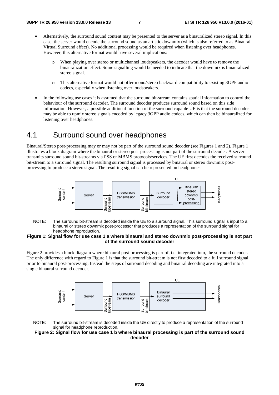- Alternatively, the surround sound content may be presented to the server as a binauralized stereo signal. In this case, the server would encode the surround sound as an artistic downmix (which is also referred to as Binaural Virtual Surround effect). No additional processing would be required when listening over headphones. However, this alternative format would have several implications:
	- o When playing over stereo or multichannel loudspeakers, the decoder would have to remove the binauralization effect. Some signalling would be needed to indicate that the downmix is binauralized stereo signal.
	- o This alternative format would not offer mono/stereo backward compatibility to existing 3GPP audio codecs, especially when listening over loudspeakers.
- In the following use cases it is assumed that the surround bit-stream contains spatial information to control the behaviour of the surround decoder. The surround decoder produces surround sound based on this side information. However, a possible additional function of the surround capable UE is that the surround decoder may be able to upmix stereo signals encoded by legacy 3GPP audio codecs, which can then be binauralized for listening over headphones.

#### 4.1 Surround sound over headphones

Binaural/Stereo post-processing may or may not be part of the surround sound decoder (see Figures 1 and 2). Figure 1 illustrates a block diagram where the binaural or stereo post-processing is not part of the surround decoder. A server transmits surround sound bit-streams via PSS or MBMS protocols/services. The UE first decodes the received surround bit-stream to a surround signal. The resulting surround signal is processed by binaural or stereo downmix postprocessing to produce a stereo signal. The resulting signal can be represented on headphones.



NOTE: The surround bit-stream is decoded inside the UE to a surround signal. This surround signal is input to a binaural or stereo downmix post-processor that produces a representation of the surround signal for headphone reproduction.

#### **Figure 1: Signal flow for use case 1 a where binaural and stereo downmix post-processing is not part of the surround sound decoder**

Figure 2 provides a block diagram where binaural post-processing is part of, i.e. integrated into, the surround decoder. The only difference with regard to Figure 1 is that the surround bit-stream is not first decoded to a full surround signal prior to binaural post-processing. Instead the steps of surround decoding and binaural decoding are integrated into a single binaural surround decoder.





#### **Figure 2: Signal flow for use case 1 b where binaural processing is part of the surround sound decoder**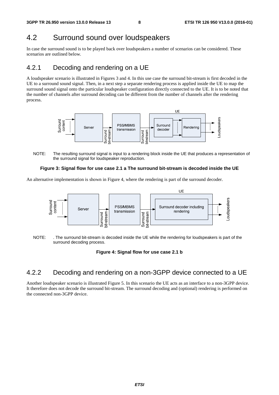### 4.2 Surround sound over loudspeakers

In case the surround sound is to be played back over loudspeakers a number of scenarios can be considered. These scenarios are outlined below.

### 4.2.1 Decoding and rendering on a UE

A loudspeaker scenario is illustrated in Figures 3 and 4. In this use case the surround bit-stream is first decoded in the UE to a surround sound signal. Then, in a next step a separate rendering process is applied inside the UE to map the surround sound signal onto the particular loudspeaker configuration directly connected to the UE. It is to be noted that the number of channels after surround decoding can be different from the number of channels after the rendering process.



NOTE: The resulting surround signal is input to a rendering block inside the UE that produces a representation of the surround signal for loudspeaker reproduction.

#### **Figure 3: Signal flow for use case 2.1 a The surround bit-stream is decoded inside the UE**

An alternative implementation is shown in Figure 4, where the rendering is part of the surround decoder.



NOTE: . The surround bit-stream is decoded inside the UE while the rendering for loudspeakers is part of the surround decoding process.

#### **Figure 4: Signal flow for use case 2.1 b**

#### 4.2.2 Decoding and rendering on a non-3GPP device connected to a UE

Another loudspeaker scenario is illustrated Figure 5. In this scenario the UE acts as an interface to a non-3GPP device. It therefore does not decode the surround bit-stream. The surround decoding and (optional) rendering is performed on the connected non-3GPP device.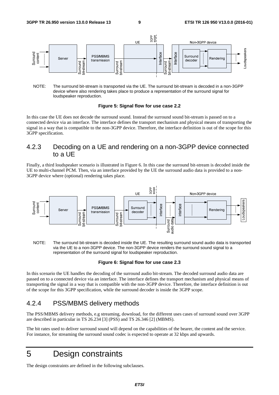

NOTE: The surround bit-stream is transported via the UE. The surround bit-stream is decoded in a non-3GPP device where also rendering takes place to produce a representation of the surround signal for loudspeaker reproduction.

#### **Figure 5: Signal flow for use case 2.2**

In this case the UE does not decode the surround sound. Instead the surround sound bit-stream is passed on to a connected device via an interface. The interface defines the transport mechanism and physical means of transporting the signal in a way that is compatible to the non-3GPP device. Therefore, the interface definition is out of the scope for this 3GPP specification.

#### 4.2.3 Decoding on a UE and rendering on a non-3GPP device connected to a UE

Finally, a third loudspeaker scenario is illustrated in Figure 6. In this case the surround bit-stream is decoded inside the UE to multi-channel PCM. Then, via an interface provided by the UE the surround audio data is provided to a non-3GPP device where (optional) rendering takes place.



NOTE: The surround bit-stream is decoded inside the UE. The resulting surround sound audio data is transported via the UE to a non-3GPP device. The non-3GPP device renders the surround sound signal to a representation of the surround signal for loudspeaker reproduction.

#### **Figure 6: Signal flow for use case 2.3**

In this scenario the UE handles the decoding of the surround audio bit-stream. The decoded surround audio data are passed on to a connected device via an interface. The interface defines the transport mechanism and physical means of transporting the signal in a way that is compatible with the non-3GPP device. Therefore, the interface definition is out of the scope for this 3GPP specification, while the surround decoder is inside the 3GPP scope.

#### 4.2.4 PSS/MBMS delivery methods

The PSS/MBMS delivery methods, e.g streaming, download, for the different uses cases of surround sound over 3GPP are described in particular in TS 26.234 [3] (PSS) and TS 26.346 [2] (MBMS).

The bit rates used to deliver surround sound will depend on the capabilities of the bearer, the content and the service. For instance, for streaming the surround sound codec is expected to operate at 32 kbps and upwards.

### 5 Design constraints

The design constraints are defined in the following subclauses.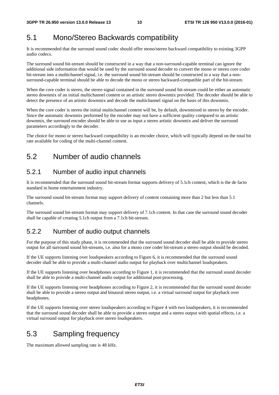### 5.1 Mono/Stereo Backwards compatibility

It is recommended that the surround sound codec should offer mono/stereo backward compatibility to existing 3GPP audio codecs.

The surround sound bit-stream should be constructed in a way that a non-surround-capable terminal can ignore the additional side information that would be used by the surround sound decoder to convert the mono or stereo core coder bit-stream into a multichannel signal, i.e. the surround sound bit-stream should be constructed in a way that a nonsurround-capable terminal should be able to decode the mono or stereo backward-compatible part of the bit-stream.

When the core coder is stereo, the stereo signal contained in the surround sound bit-stream could be either an automatic stereo downmix of an initial multichannel content or an artistic stereo downmix provided. The decoder should be able to detect the presence of an artistic downmix and decode the multichannel signal on the basis of this downmix.

When the core coder is stereo the initial multichannel content will be, by default, downmixed to stereo by the encoder. Since the automatic downmix performed by the encoder may not have a sufficient quality compared to an artistic downmix, the surround encoder should be able to use as input a stereo artistic downmix and deliver the surround parameters accordingly to the decoder.

The choice for mono or stereo backward compatibility is an encoder choice, which will typically depend on the total bit rate available for coding of the multi-channel content.

### 5.2 Number of audio channels

#### 5.2.1 Number of audio input channels

It is recommended that the surround sound bit-stream format supports delivery of 5.1ch content, which is the de facto standard in home entertainment industry.

The surround sound bit-stream format may support delivery of content containing more than 2 but less than 5.1 channels.

The surround sound bit-stream format may support delivery of 7.1ch content. In that case the surround sound decoder shall be capable of creating 5.1ch output from a 7.1ch bit-stream.

#### 5.2.2 Number of audio output channels

For the purpose of this study phase, it is recommended that the surround sound decoder shall be able to provide stereo output for all surround sound bit-streams, i.e. also for a mono core coder bit-stream a stereo output should be decoded.

If the UE supports listening over loudspeakers according to Figure 6, it is recommended that the surround sound decoder shall be able to provide a multi-channel audio output for playback over multichannel loudspeakers.

If the UE supports listening over headphones according to Figure 1, it is recommended that the surround sound decoder shall be able to provide a multi-channel audio output for additional post-processing.

If the UE supports listening over headphones according to Figure 2, it is recommended that the surround sound decoder shall be able to provide a stereo output and binaural stereo output, i.e. a virtual surround output for playback over headphones.

If the UE supports listening over stereo loudspeakers according to Figure 4 with two loudspeakers, it is recommended that the surround sound decoder shall be able to provide a stereo output and a stereo output with spatial effects, i.e. a virtual surround output for playback over stereo loudspeakers.

### 5.3 Sampling frequency

The maximum allowed sampling rate is 48 kHz.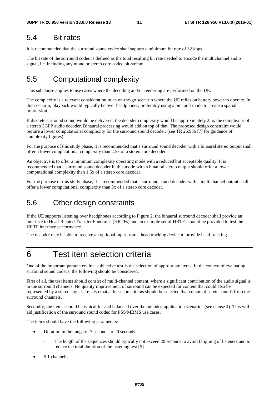#### 5.4 Bit rates

It is recommended that the surround sound codec shall support a minimum bit rate of 32 kbps.

The bit rate of the surround codec is defined as the total resulting bit rate needed to encode the multichannel audio signal, i.e. including any mono or stereo core codec bit-stream.

### 5.5 Computational complexity

This subclause applies to use cases where the decoding and/or rendering are performed on the UE.

The complexity is a relevant consideration in an on-the-go scenario where the UE relies on battery power to operate. In this scenario, playback would typically be over headphones, preferably using a binaural mode to create a spatial impression.

If discrete surround sound would be delivered, the decoder complexity would be approximately 2.5x the complexity of a stereo 3GPP audio decoder. Binaural processing would add on top of that. The proposed design constraint would require a lower computational complexity for the surround sound decoder. (see TR 26.936 [7] for guidance of complexity figures).

For the purpose of this study phase, it is recommended that a surround sound decoder with a binaural stereo output shall offer a lower computational complexity than 2.5x of a stereo core decoder.

An objective is to offer a minimum complexity operating mode with a reduced but acceptable quality: It is recommended that a surround sound decoder in this mode with a binaural stereo output should offer a lower computational complexity than 1.5x of a stereo core decoder.

For the purpose of this study phase, it is recommended that a surround sound decoder with a multichannel output shall offer a lower computational complexity than 3x of a stereo core decoder.

#### 5.6 Other design constraints

If the UE supports listening over headphones according to Figure 2, the binaural surround decoder shall provide an interface to Head-Related Transfer Functions (HRTFs) and an example set of HRTFs should be provided to test the HRTF interface performance.

The decoder may be able to receive an optional input from a head tracking device to provide head-tracking.

### 6 Test item selection criteria

One of the important parameters in a subjective test is the selection of appropriate items. In the context of evaluating surround sound codecs, the following should be considered.

First of all, the test items should consist of multi-channel content, where a significant contribution of the audio signal is in the surround channels. No quality improvement of surround can be expected for content that could also be represented by a stereo signal. I.e. also that at least some items should be selected that contain discrete sounds from the surround channels.

Secondly, the items should be typical for and balanced over the intended application scenarios (see clause 4). This will aid justification of the surround sound codec for PSS/MBMS use cases.

The items should have the following parameters:

- Duration in the range of 7 seconds to 20 seconds
	- The length of the sequences should typically not exceed 20 seconds to avoid fatiguing of listeners and to reduce the total duration of the listening test [5].
- 5.1 channels,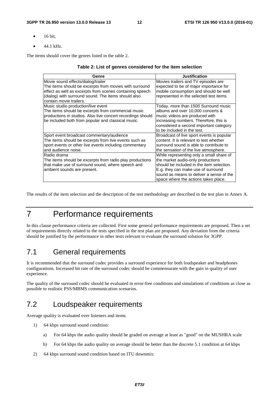- $\bullet$  16 bit.
- 44.1 kHz.

The items should cover the genres listed in the table 2.

#### **Table 2: List of genres considered for the item selection**

| Genre                                                       | <b>Justification</b>                      |
|-------------------------------------------------------------|-------------------------------------------|
| Movie sound effects/dialog/trailer                          | Movies trailers and TV episodes are       |
| The items should be excerpts from movies with surround      | expected to be of major importance for    |
| effect as well as excerpts from scenes containing speech    | mobile consumption and should be well     |
| (dialog) with surround sound. The items should also         | represented in the selected test items.   |
| contain movie trailers.                                     |                                           |
| Music studio production/live event                          | Today, more than 1500 Surround music      |
| The items should be excerpts from commercial music          | albums and over 10,000 concerts &         |
| productions in studios. Also live concert recordings should | music videos are produced with            |
| be included both from popular and classical music.          | increasing numbers. Therefore, this is    |
|                                                             | considered a second important category    |
|                                                             | to be included in the test.               |
| Sport event broadcast commentary/audience                   | Broadcast of live sport events is popular |
| The items should be excerpts from live events such as       | content. It is relevant to test whether   |
| sport events or other live events including commentary      | surround sound is able to contribute to   |
| and audience noise.                                         | the sensation of the live atmosphere.     |
| Radio drama                                                 | While representing only a small share of  |
| The items should be excerpts from radio play productions    | the market audio-only productions         |
| that make use of surround sound, where speech and           | should be included in the item selection. |
| ambient sounds are present.                                 | E.g. they can make use of surround        |
|                                                             | sound as means to deliver a sense of the  |
|                                                             | space where the actions takes place.      |

The results of the item selection and the description of the test methodology are described in the test plan in Annex A.

### 7 Performance requirements

In this clause performance criteria are collected. First some general performance requirements are proposed. Then a set of requirements directly related to the tests specified in the test plan are proposed. Any deviation from the criteria should be justified by the performance in other tests relevant to evaluate the surround solution for 3GPP.

#### 7.1 General requirements

It is recommended that the surround codec provides a surround experience for both loudspeaker and headphones configurations. Increased bit rate of the surround codec should be commensurate with the gain in quality of user experience.

The quality of the surround codec should be evaluated in error-free conditions and simulations of conditions as close as possible to realistic PSS/MBMS communication scenarios.

#### 7.2 Loudspeaker requirements

Average quality is evaluated over listeners and items.

- 1) 64 kbps surround sound condition:
	- a) For 64 kbps the audio quality should be graded on average at least as "good" on the MUSHRA scale
	- b) For 64 kbps the audio quality on average should be better than the discrete 5.1 condition at 64 kbps
- 2) 64 kbps surround sound condition based on ITU downmix: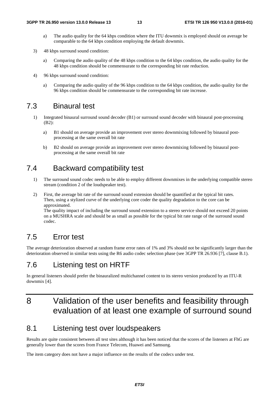- a) The audio quality for the 64 kbps condition where the ITU downmix is employed should on average be comparable to the 64 kbps condition employing the default downmix.
- 3) 48 kbps surround sound condition:
	- a) Comparing the audio quality of the 48 kbps condition to the 64 kbps condition, the audio quality for the 48 kbps condition should be commensurate to the corresponding bit rate reduction.
- 4) 96 kbps surround sound condition:
	- a) Comparing the audio quality of the 96 kbps condition to the 64 kbps condition, the audio quality for the 96 kbps condition should be commensurate to the corresponding bit rate increase.

#### 7.3 Binaural test

- 1) Integrated binaural surround sound decoder (B1) or surround sound decoder with binaural post-processing (B2):
	- a) B1 should on average provide an improvement over stereo downmixing followed by binaural postprocessing at the same overall bit rate
	- b) B2 should on average provide an improvement over stereo downmixing followed by binaural postprocessing at the same overall bit rate

#### 7.4 Backward compatibility test

- 1) The surround sound codec needs to be able to employ different downmixes in the underlying compatible stereo stream (condition 2 of the loudspeaker test).
- 2) First, the average bit rate of the surround sound extension should be quantified at the typical bit rates. Then, using a stylized curve of the underlying core coder the quality degradation to the core can be approximated.

The quality impact of including the surround sound extension to a stereo service should not exceed 20 points on a MUSHRA scale and should be as small as possible for the typical bit rate range of the surround sound codec.

#### 7.5 Error test

The average deterioration observed at random frame error rates of 1% and 3% should not be significantly larger than the deterioration observed in similar tests using the R6 audio codec selection phase (see 3GPP TR 26.936 [7], clause B.1).

#### 7.6 Listening test on HRTF

In general listeners should prefer the binauralized multichannel content to its stereo version produced by an ITU-R downmix [4].

### 8 Validation of the user benefits and feasibility through evaluation of at least one example of surround sound

#### 8.1 Listening test over loudspeakers

Results are quite consistent between all test sites although it has been noticed that the scores of the listeners at FhG are generally lower than the scores from France Telecom, Huawei and Samsung.

The item category does not have a major influence on the results of the codecs under test.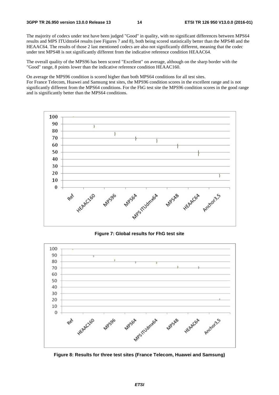The majority of codecs under test have been judged "Good" in quality, with no significant differences between MPS64 results and MPS ITUdmx64 results (see Figures 7 and 8), both being scored statistically better than the MPS48 and the HEAAC64. The results of those 2 last mentioned codecs are also not significantly different, meaning that the codec under test MPS48 is not significantly different from the indicative reference condition HEAAC64.

The overall quality of the MPS96 has been scored "Excellent" on average, although on the sharp border with the "Good" range, 8 points lower than the indicative reference condition HEAAC160.

On average the MPS96 condition is scored higher than both MPS64 conditions for all test sites. For France Telecom, Huawei and Samsung test sites, the MPS96 condition scores in the excellent range and is not significantly different from the MPS64 conditions. For the FhG test site the MPS96 condition scores in the good range and is significantly better than the MPS64 conditions.



**Figure 7: Global results for FhG test site** 



**Figure 8: Results for three test sites (France Telecom, Huawei and Samsung)**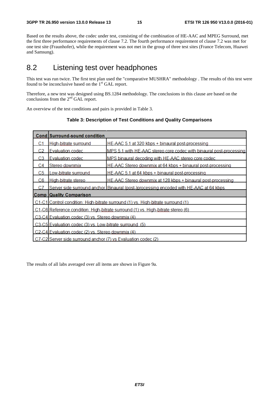Based on the results above, the codec under test, consisting of the combination of HE-AAC and MPEG Surround, met the first three performance requirements of clause 7.2. The fourth performance requirement of clause 7.2 was met for one test site (Fraunhofer), while the requirement was not met in the group of three test sites (France Telecom, Huawei and Samsung).

#### 8.2 Listening test over headphones

This test was run twice. The first test plan used the "comparative MUSHRA" methodology . The results of this test were found to be inconclusive based on the  $1<sup>st</sup>$  GAL report.

Therefore, a new test was designed using BS.1284 methodology. The conclusions in this clause are based on the conclusions from the 2<sup>nd</sup> GAL report.

An overview of the test conditions and pairs is provided in Table 3.

|     | Cond Surround-sound condition                                                         |                                                                     |  |  |
|-----|---------------------------------------------------------------------------------------|---------------------------------------------------------------------|--|--|
| C1  | High-bitrate surround                                                                 | HE-AAC 5.1 at 320 kbps + binaural post-processing                   |  |  |
| CЭ  | <b>Evaluation codec</b>                                                               | MPS 5.1 with HE-AAC stereo core codec with binaural post-processing |  |  |
| CЗ  | Evaluation codec                                                                      | MPS binaural decoding with HE-AAC stereo core codec                 |  |  |
| C4  | Stereo downmix                                                                        | HE-AAC Stereo downmix at 64 kbps + binaural post-processing         |  |  |
| C5  | Low-bitrate surround                                                                  | HE-AAC 5.1 at 64 kbps + binaural post-processing                    |  |  |
| C6. | High-bitrate stereo                                                                   | HE-AAC Stereo downmix at 128 kbps + binaural post-processing        |  |  |
| C.7 | Server side surround anchor Binaural (post-)processing encoded with HE-AAC at 64 kbps |                                                                     |  |  |
|     | <b>Comp Quality Comparison</b>                                                        |                                                                     |  |  |
|     | C1-C1 Control condition: High-bitrate surround (1) vs. High-bitrate surround (1)      |                                                                     |  |  |
|     | C1-C6 Reference condition: High-bitrate surround (1) vs. High-bitrate stereo (6)      |                                                                     |  |  |
|     | C3-C4 Evaluation codec (3) vs. Stereo downmix (4)                                     |                                                                     |  |  |
|     | C3-C5 Evaluation codec (3) vs. Low-bitrate surround (5)                               |                                                                     |  |  |
|     | C2-C4 Evaluation codec (2) vs. Stereo downmix (4)                                     |                                                                     |  |  |
|     | C7-C2 Server side surround anchor (7) ys Evaluation codec (2)                         |                                                                     |  |  |

#### **Table 3: Description of Test Conditions and Quality Comparisons**

The results of all labs averaged over all items are shown in Figure 9a.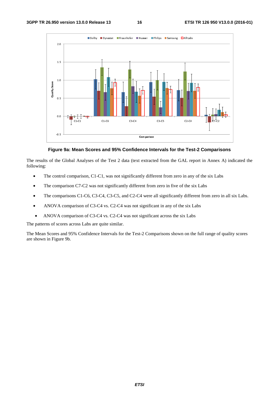

**Figure 9a: Mean Scores and 95% Confidence Intervals for the Test-2 Comparisons** 

The results of the Global Analyses of the Test 2 data (text extracted from the GAL report in Annex A) indicated the following:

- The control comparison, C1-C1, was not significantly different from zero in any of the six Labs
- The comparison C7-C2 was not significantly different from zero in five of the six Labs
- The comparisons C1-C6, C3-C4, C3-C5, and C2-C4 were all significantly different from zero in all six Labs.
- ANOVA comparison of C3-C4 vs. C2-C4 was not significant in any of the six Labs
- ANOVA comparison of C3-C4 vs. C2-C4 was not significant across the six Labs

The patterns of scores across Labs are quite similar.

The Mean Scores and 95% Confidence Intervals for the Test-2 Comparisons shown on the full range of quality scores are shown in Figure 9b.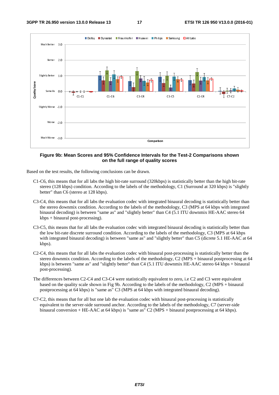

#### **Figure 9b: Mean Scores and 95% Confidence Intervals for the Test-2 Comparisons shown on the full range of quality scores**

Based on the test results, the following conclusions can be drawn.

- C1-C6, this means that for all labs the high bit-rate surround (320kbps) is statistically better than the high bit-rate stereo (128 kbps) condition. According to the labels of the methodology, C1 (Surround at 320 kbps) is "slightly better" than C6 (stereo at 128 kbps).
- C3-C4, this means that for all labs the evaluation codec with integrated binaural decoding is statistically better than the stereo downmix condition. According to the labels of the methodology, C3 (MPS at 64 kbps with integrated binaural decoding) is between "same as" and "slightly better" than C4 (5.1 ITU downmix HE-AAC stereo 64 kbps + binaural post-processing).
- C3-C5, this means that for all labs the evaluation codec with integrated binaural decoding is statistically better than the low bit-rate discrete surround condition. According to the labels of the methodology, C3 (MPS at 64 kbps with integrated binaural decoding) is between "same as" and "slightly better" than C5 (dicrete 5.1 HE-AAC at 64 kbps).
- C2-C4, this means that for all labs the evaluation codec with binaural post-processing is statistically better than the stereo downmix condition. According to the labels of the methodology, C2 (MPS + binaural postprocessing at 64 kbps) is between "same as" and "slightly better" than C4 (5.1 ITU downmix HE-AAC stereo 64 kbps + binaural post-processing).
- The differences between C2-C4 and C3-C4 were statistically equivalent to zero, i.e C2 and C3 were equivalent based on the quality scale shown in Fig 9b. According to the labels of the methodology, C2 (MPS + binaural postprocessing at 64 kbps) is "same as" C3 (MPS at 64 kbps with integrated binaural decoding).
- C7-C2, this means that for all but one lab the evaluation codec with binaural post-processing is statistically equivalent to the server-side surround anchor. According to the labels of the methodology, C7 (server-side binaural conversion + HE-AAC at 64 kbps) is "same as" C2 (MPS + binaural postprocessing at 64 kbps).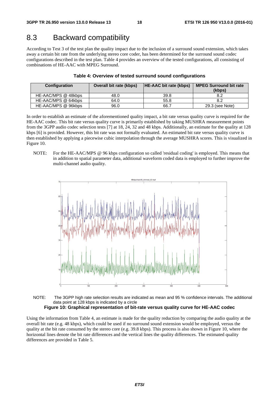#### 8.3 Backward compatibility

According to Test 3 of the test plan the quality impact due to the inclusion of a surround sound extension, which takes away a certain bit rate from the underlying stereo core coder, has been determined for the surround sound codec configurations described in the test plan. Table 4 provides an overview of the tested configurations, all consisting of combinations of HE-AAC with MPEG Surround.

| <b>Configuration</b> | <b>Overall bit rate (kbps)</b> | <b>HE-AAC bit rate (kbps)</b> | <b>MPEG Surround bit rate</b><br>(kbps) |
|----------------------|--------------------------------|-------------------------------|-----------------------------------------|
| HE-AAC/MPS @ 48kbps  | 48.0                           | 39.8                          | 8.2                                     |
| HE-AAC/MPS @ 64kbps  | 64.0                           | 55.8                          | 8.2                                     |
| HE-AAC/MPS @ 96kbps  | 96.0                           | 66.7                          | 29.3 (see Note)                         |

#### **Table 4: Overview of tested surround sound configurations**

In order to establish an estimate of the aforementioned quality impact, a bit rate versus quality curve is required for the HE-AAC codec. This bit rate versus quality curve is primarily established by taking MUSHRA measurement points from the 3GPP audio codec selection tests [7] at 18, 24, 32 and 48 kbps. Additionally, an estimate for the quality at 128 kbps [6] is provided. However, this bit rate was not formally evaluated. An estimated bit rate versus quality curve is then established by applying a piecewise cubic interpolation through the average MUSHRA scores. This is visualized in Figure 10.

NOTE: For the HE-AAC/MPS @ 96 kbps configuration so called 'residual coding' is employed. This means that in addition to spatial parameter data, additional waveform coded data is employed to further improve the multi-channel audio quality.



NOTE: The 3GPP high rate selection results are indicated as mean and 95 % confidence intervals. The additional data point at 128 kbps is indicated by a circle **Figure 10: Graphical representation of bit-rate versus quality curve for HE-AAC codec** 

Using the information from Table 4, an estimate is made for the quality reduction by comparing the audio quality at the overall bit rate (e.g. 48 kbps), which could be used if no surround sound extension would be employed, versus the quality at the bit rate consumed by the stereo core (e.g. 39.8 kbps). This process is also shown in Figure 10, where the horizontal lines denote the bit rate differences and the vertical lines the quality differences. The estimated quality differences are provided in Table 5.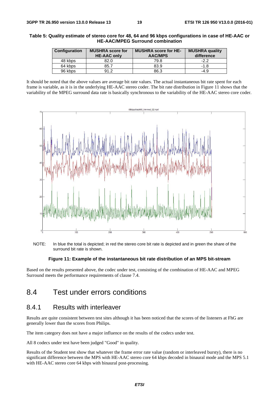#### **Table 5: Quality estimate of stereo core for 48, 64 and 96 kbps configurations in case of HE-AAC or HE-AAC/MPEG Surround combination**

| <b>Configuration</b> | <b>MUSHRA</b> score for<br><b>HE-AAC only</b> | <b>MUSHRA score for HE-</b><br><b>AAC/MPS</b> | <b>MUSHRA quality</b><br>difference |
|----------------------|-----------------------------------------------|-----------------------------------------------|-------------------------------------|
| 48 kbps              | 82.0                                          | 79.8                                          | $-2.2$                              |
| 64 kbps              | 85.7                                          | 83.9                                          | $-1.8$                              |
| 96 kbps              | 91.2                                          | 86.3                                          | $-4.9$                              |

It should be noted that the above values are average bit rate values. The actual instantaneous bit rate spent for each frame is variable, as it is in the underlying HE-AAC stereo coder. The bit rate distribution in Figure 11 shows that the variability of the MPEG surround data rate is basically synchronous to the variability of the HE-AAC stereo core coder.



NOTE: In blue the total is depicted; in red the stereo core bit rate is depicted and in green the share of the surround bit rate is shown.

#### **Figure 11: Example of the instantaneous bit rate distribution of an MPS bit-stream**

Based on the results presented above, the codec under test, consisting of the combination of HE-AAC and MPEG Surround meets the performance requirements of clause 7.4.

#### 8.4 Test under errors conditions

#### 8.4.1 Results with interleaver

Results are quite consistent between test sites although it has been noticed that the scores of the listeners at FhG are generally lower than the scores from Philips.

The item category does not have a major influence on the results of the codecs under test.

All 8 codecs under test have been judged "Good" in quality.

Results of the Student test show that whatever the frame error rate value (random or interleaved bursty), there is no significant difference between the MPS with HE-AAC stereo core 64 kbps decoded in binaural mode and the MPS 5.1 with HE-AAC stereo core 64 kbps with binaural post-processing.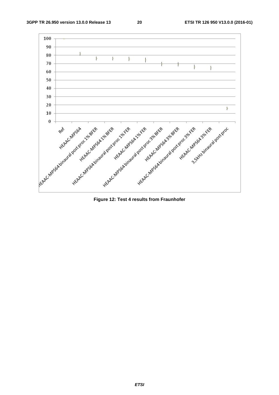**3GPP TR 26.950 version 13.0.0 Release 13 20 ETSI TR 126 950 V13.0.0 (2016-01)**

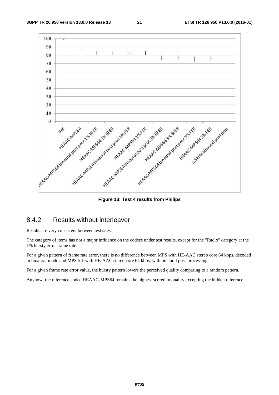

#### 8.4.2 Results without interleaver

Results are very consistent between test sites.

The category of items has not a major influence on the codecs under test results, except for the "Radio" category at the 1% bursty error frame rate.

For a given pattern of frame rate error, there is no difference between MPS with HE-AAC stereo core 64 kbps, decoded in binaural mode and MPS 5.1 with HE-AAC stereo core 64 kbps, with binaural post-processing.

For a given frame rate error value, the bursty pattern lowers the perceived quality comparing to a random pattern.

Anyhow, the reference codec HEAAC-MPS64 remains the highest scored in quality excepting the hidden reference.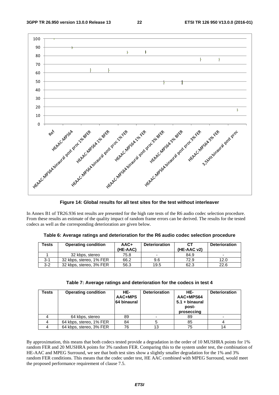

**Figure 14: Global results for all test sites for the test without interleaver** 

In Annex B1 of TR26.936 test results are presented for the high rate tests of the R6 audio codec selection procedure. From these results an estimate of the quality impact of random frame errors can be derived. The results for the tested codecs as well as the corresponding deterioration are given below.

|  | Table 6: Average ratings and deterioration for the R6 audio codec selection procedure |  |
|--|---------------------------------------------------------------------------------------|--|
|--|---------------------------------------------------------------------------------------|--|

| Tests   | <b>Operating condition</b> | $AAC+$<br>(HE-AAC) | <b>Deterioration</b>     | CТ<br>(HE-AAC v2) | <b>Deterioration</b>     |
|---------|----------------------------|--------------------|--------------------------|-------------------|--------------------------|
|         | 32 kbps, stereo            | 75.8               | $\overline{\phantom{0}}$ | 84.9              | $\overline{\phantom{a}}$ |
| $3-1$   | 32 kbps, stereo, 1% FER    | 66.2               | 9.6                      | 72.9              | 12.0                     |
| $3 - 2$ | 32 kbps, stereo, 3% FER    | 56.3               | 19.5                     | 62.3              | 22.6                     |

| Tests | <b>Operating condition</b> | HE-<br>AAC+MPS<br><b>64 binaural</b> | <b>Deterioration</b> | HF-<br>AAC+MPS64<br>$5.1 + binaural$<br>post-<br>proseccing | <b>Deterioration</b> |
|-------|----------------------------|--------------------------------------|----------------------|-------------------------------------------------------------|----------------------|
|       | 64 kbps, stereo            | 89                                   |                      | 89                                                          |                      |
|       | 64 kbps, stereo, 1% FER    | 84                                   |                      | 85                                                          |                      |
|       | 64 kbps, stereo, 3% FER    | 76                                   | 13                   | 75                                                          | 14                   |

By approximation, this means that both codecs tested provide a degradation in the order of 10 MUSHRA points for 1% random FER and 20 MUSHRA points for 3% random FER. Comparing this to the system under test, the combination of HE-AAC and MPEG Surround, we see that both test sites show a slightly smaller degradation for the 1% and 3% random FER conditions. This means that the codec under test, HE AAC combined with MPEG Surround, would meet the proposed performance requirement of clause 7.5.

*ETSI*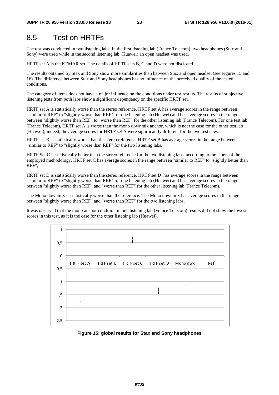### 8.5 Test on HRTFs

The test was conducted in two listening labs. In the first listening lab (France Telecom), two headphones (Stax and Sony) were used while in the second listening lab (Huawei) an open headset was used.

HRTF set A is the KEMAR set. The details of HRTF sets B, C and D were not disclosed.

The results obtained by Stax and Sony show more similarities than between Stax and open headset (see Figures 15 and 16). The difference between Stax and Sony headphones has no influence on the perceived quality of the tested conditions.

The category of items does not have a major influence on the conditions under test results. The results of subjective listening tests from both labs show a significant dependency on the specific HRTF set.

HRTF set A is statistically worse than the stereo reference. HRTF set A has average scores in the range between "similar to REF" to "slightly worse than REF" for one listening lab (Huawei) and has average scores in the range between "slightly worse than REF" to "worse than REF" for the other listening lab (France Telecom). For one test lab (France Telecom), HRTF set A is worse than the mono downmix anchor, which is not the case for the other test lab (Huawei); indeed, the average scores for HRTF set A were significantly different for the two test sites.

HRTF set B is statistically worse than the stereo reference. HRTF set B has average scores in the range between "similar to REF" to "slightly worse than REF" for the two listening labs.

HRTF Set C is statistically better than the stereo reference for the two listening labs, according to the labels of the employed methodology. HRTF set C has average scores in the range between "similar to REF" to "slightly better than REF",

HRTF set D is statistically worse than the stereo reference. HRTF set D has average scores in the range between "similar to REF" to "slightly worse than REF" for one listening lab (Huawei) and has average scores in the range between "slightly worse than REF" and "worse than REF" for the other listening lab (France Telecom).

The Mono downmix is statistically worse than the reference. The Mono downmix has average scores in the range between "slightly worse than REF" and "worse than REF" for the two listening labs.

It was observed that the mono anchor condition in one listening lab (France Telecom) results did not show the lowest scores in this test, as it is the case for the other listening lab (Huawei).



**Figure 15: global results for Stax and Sony headphones**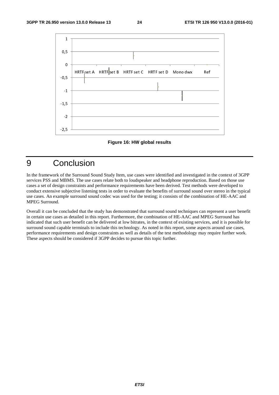



### 9 Conclusion

In the framework of the Surround Sound Study Item, use cases were identified and investigated in the context of 3GPP services PSS and MBMS. The use cases relate both to loudspeaker and headphone reproduction. Based on those use cases a set of design constraints and performance requirements have been derived. Test methods were developed to conduct extensive subjective listening tests in order to evaluate the benefits of surround sound over stereo in the typical use cases. An example surround sound codec was used for the testing; it consists of the combination of HE-AAC and MPEG Surround.

Overall it can be concluded that the study has demonstrated that surround sound techniques can represent a user benefit in certain use cases as detailed in this report. Furthermore, the combination of HE-AAC and MPEG Surround has indicated that such user benefit can be delivered at low bitrates, in the context of existing services, and it is possible for surround sound capable terminals to include this technology. As noted in this report, some aspects around use cases, performance requirements and design constraints as well as details of the test methodology may require further work. These aspects should be considered if 3GPP decides to pursue this topic further.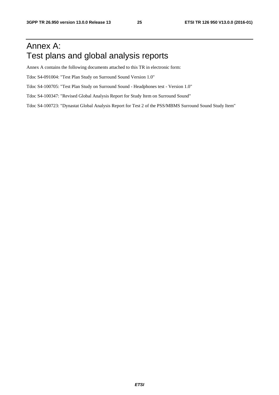### Annex A: Test plans and global analysis reports

Annex A contains the following documents attached to this TR in electronic form:

Tdoc S4-091004: "Test Plan Study on Surround Sound Version 1.0"

Tdoc S4-100705: "Test Plan Study on Surround Sound - Headphones test - Version 1.0"

Tdoc S4-100347: "Revised Global Analysis Report for Study Item on Surround Sound"

Tdoc S4-100723: "Dynastat Global Analysis Report for Test 2 of the PSS/MBMS Surround Sound Study Item"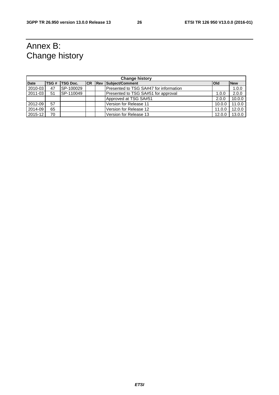## Annex B: Change history

| <b>Change history</b> |      |                 |  |               |                                        |              |            |  |
|-----------------------|------|-----------------|--|---------------|----------------------------------------|--------------|------------|--|
| <b>Date</b>           | TSG# | <b>TSG Doc.</b> |  | <b>CR Rev</b> | Subject/Comment                        | <b>l</b> Old | <b>New</b> |  |
| $2010 - 03$           | 47   | SP-100029       |  |               | Presented to TSG SA#47 for information |              | 1.0.0      |  |
| 2011-03               | 51   | SP-110049       |  |               | Presented to TSG SA#51 for approval    | 1.0.0        | 2.0.0      |  |
|                       |      |                 |  |               | Approved at TSG SA#51                  | 2.0.0        | 10.0.0     |  |
| 2012-09               | 57   |                 |  |               | Version for Release 11                 | 10.0.0       | 11.0.0     |  |
| 2014-09               | 65   |                 |  |               | Version for Release 12                 | 11.0.0       | 12.0.0     |  |
| 2015-12               | 70   |                 |  |               | Version for Release 13                 | 12.0.0       | 13.0.0     |  |